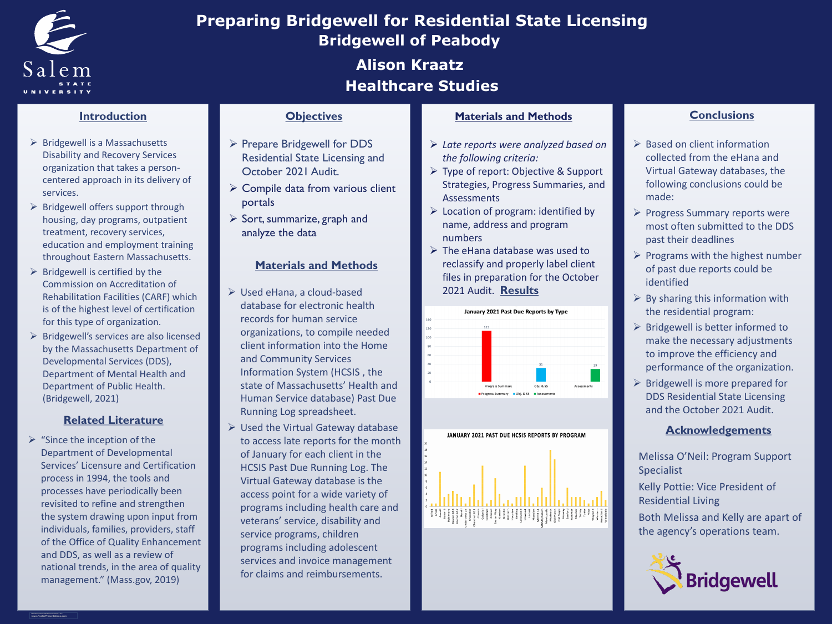**RESEARCH POSTER PRESENTATION DESIGN © 2012 www.PosterPresentations.com**

 $\triangleright$  "Since the inception of the Department of Developmental Services' Licensure and Certification process in 1994, the tools and processes have periodically been revisited to refine and strengthen the system drawing upon input from individuals, families, providers, staff of the Office of Quality Enhancement and DDS, as well as a review of national trends, in the area of quality management." (Mass.gov, 2019)

## **Related Literature**



# **Introduction**

- Used eHana, a cloud-based database for electronic health records for human service organizations, to compile needed client information into the Home and Community Services Information System (HCSIS , the state of Massachusetts' Health and Human Service database) Past Due Running Log spreadsheet.
- Used the Virtual Gateway database to access late reports for the month of January for each client in the HCSIS Past Due Running Log. The Virtual Gateway database is the access point for a wide variety of programs including health care and veterans' service, disability and service programs, children programs including adolescent services and invoice management for claims and reimbursements.

# **Objectives Materials and Methods Conclusions**

- ▶ Based on client information collected from the eHana and Virtual Gateway databases, the following conclusions could be made:
- **► Progress Summary reports were** most often submitted to the DDS past their deadlines
- $\triangleright$  Programs with the highest number of past due reports could be identified
- $\triangleright$  By sharing this information with the residential program:
- Bridgewell is better informed to make the necessary adjustments to improve the efficiency and performance of the organization.
- $\triangleright$  Bridgewell is more prepared for DDS Residential State Licensing and the October 2021 Audit.

## **Materials and Methods**

- Prepare Bridgewell for DDS Residential State Licensing and October 2021 Audit.
- Compile data from various client portals
- ▶ Sort, summarize, graph and analyze the data
- **▶ Bridgewell is a Massachusetts** Disability and Recovery Services organization that takes a personcentered approach in its delivery of services.
- $\triangleright$  Bridgewell offers support through housing, day programs, outpatient treatment, recovery services, education and employment training throughout Eastern Massachusetts.
- $\triangleright$  Bridgewell is certified by the Commission on Accreditation of Rehabilitation Facilities (CARF) which is of the highest level of certification for this type of organization.
- Bridgewell's services are also licensed by the Massachusetts Department of Developmental Services (DDS), Department of Mental Health and Department of Public Health. (Bridgewell, 2021)

## **Acknowledgements**

- Melissa O'Neil: Program Support Specialist
- Kelly Pottie: Vice President of Residential Living
- Both Melissa and Kelly are apart of the agency's operations team.



# **Bridgewell of Peabody Alison Kraatz Preparing Bridgewell for Residential State Licensing Healthcare Studies**

- *Late reports were analyzed based on the following criteria:*
- Type of report: Objective & Support Strategies, Progress Summaries, and Assessments
- $\triangleright$  Location of program: identified by name, address and program numbers
- 2021 Audit. Results **► The eHana database was used to** reclassify and properly label client files in preparation for the October



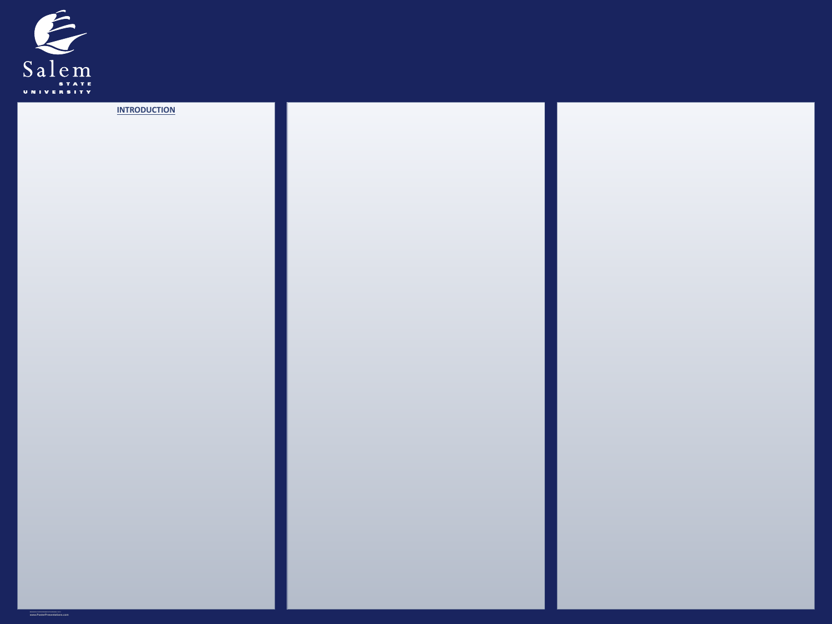

**RESEARCH POSTER PRESENTATION DESIGN © 2012 www.PosterPresentations.com**

### **INTRODUCTION**